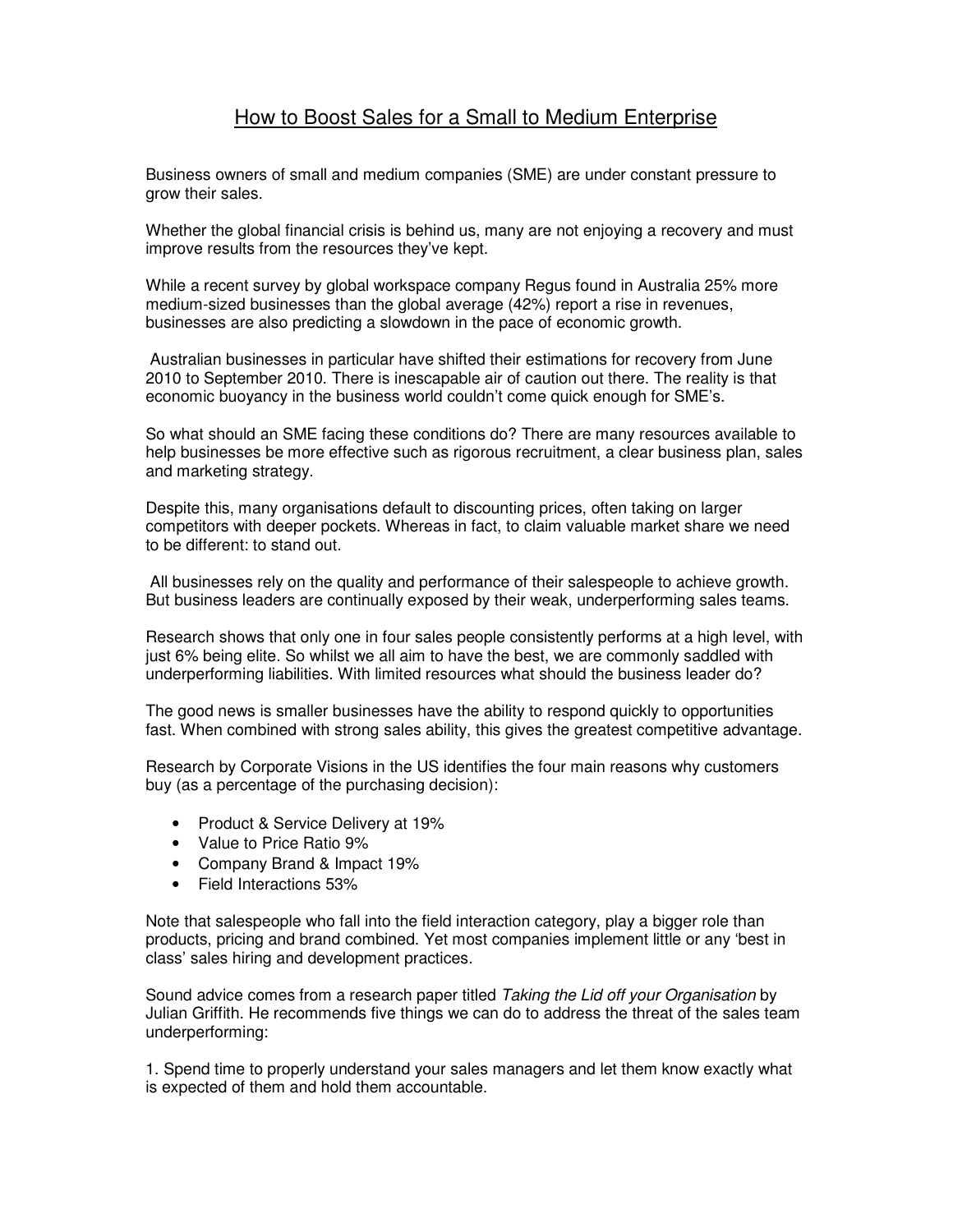## How to Boost Sales for a Small to Medium Enterprise

Business owners of small and medium companies (SME) are under constant pressure to grow their sales.

Whether the global financial crisis is behind us, many are not enjoying a recovery and must improve results from the resources they've kept.

While a recent survey by global workspace company Regus found in Australia 25% more medium-sized businesses than the global average (42%) report a rise in revenues, businesses are also predicting a slowdown in the pace of economic growth.

 Australian businesses in particular have shifted their estimations for recovery from June 2010 to September 2010. There is inescapable air of caution out there. The reality is that economic buoyancy in the business world couldn't come quick enough for SME's.

So what should an SME facing these conditions do? There are many resources available to help businesses be more effective such as rigorous recruitment, a clear business plan, sales and marketing strategy.

Despite this, many organisations default to discounting prices, often taking on larger competitors with deeper pockets. Whereas in fact, to claim valuable market share we need to be different: to stand out.

 All businesses rely on the quality and performance of their salespeople to achieve growth. But business leaders are continually exposed by their weak, underperforming sales teams.

Research shows that only one in four sales people consistently performs at a high level, with just 6% being elite. So whilst we all aim to have the best, we are commonly saddled with underperforming liabilities. With limited resources what should the business leader do?

The good news is smaller businesses have the ability to respond quickly to opportunities fast. When combined with strong sales ability, this gives the greatest competitive advantage.

Research by Corporate Visions in the US identifies the four main reasons why customers buy (as a percentage of the purchasing decision):

- Product & Service Delivery at 19%
- Value to Price Ratio 9%
- Company Brand & Impact 19%
- Field Interactions 53%

Note that salespeople who fall into the field interaction category, play a bigger role than products, pricing and brand combined. Yet most companies implement little or any 'best in class' sales hiring and development practices.

Sound advice comes from a research paper titled Taking the Lid off your Organisation by Julian Griffith. He recommends five things we can do to address the threat of the sales team underperforming:

1. Spend time to properly understand your sales managers and let them know exactly what is expected of them and hold them accountable.